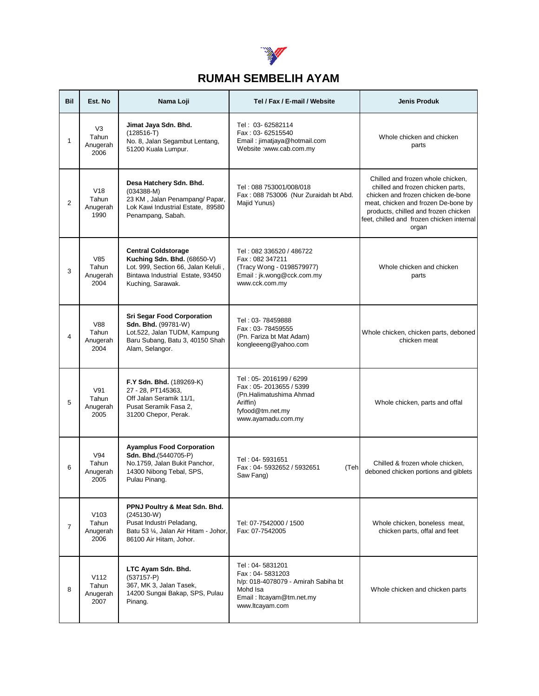

## **RUMAH SEMBELIH AYAM**

| <b>Bil</b>     | Est. No                                       | Nama Loji                                                                                                                                                 | Tel / Fax / E-mail / Website                                                                                                         | <b>Jenis Produk</b>                                                                                                                                                                                                                               |
|----------------|-----------------------------------------------|-----------------------------------------------------------------------------------------------------------------------------------------------------------|--------------------------------------------------------------------------------------------------------------------------------------|---------------------------------------------------------------------------------------------------------------------------------------------------------------------------------------------------------------------------------------------------|
| 1              | V <sub>3</sub><br>Tahun<br>Anugerah<br>2006   | Jimat Jaya Sdn. Bhd.<br>$(128516-T)$<br>No. 8, Jalan Segambut Lentang,<br>51200 Kuala Lumpur.                                                             | Tel: 03-62582114<br>Fax: 03-62515540<br>Email: jimatjaya@hotmail.com<br>Website :www.cab.com.my                                      | Whole chicken and chicken<br>parts                                                                                                                                                                                                                |
| $\overline{2}$ | V18<br>Tahun<br>Anugerah<br>1990              | Desa Hatchery Sdn. Bhd.<br>$(034388 - M)$<br>23 KM, Jalan Penampang/ Papar,<br>Lok Kawi Industrial Estate, 89580<br>Penampang, Sabah.                     | Tel: 088 753001/008/018<br>Fax: 088 753006 (Nur Zuraidah bt Abd.<br>Majid Yunus)                                                     | Chilled and frozen whole chicken,<br>chilled and frozen chicken parts,<br>chicken and frozen chicken de-bone<br>meat, chicken and frozen De-bone by<br>products, chilled and frozen chicken<br>feet, chilled and frozen chicken internal<br>organ |
| 3              | V85<br>Tahun<br>Anugerah<br>2004              | <b>Central Coldstorage</b><br>Kuching Sdn. Bhd. (68650-V)<br>Lot. 999, Section 66, Jalan Keluli,<br>Bintawa Industrial Estate, 93450<br>Kuching, Sarawak. | Tel: 082 336520 / 486722<br>Fax: 082 347211<br>(Tracy Wong - 0198579977)<br>Email: jk.wong@cck.com.my<br>www.cck.com.my              | Whole chicken and chicken<br>parts                                                                                                                                                                                                                |
| 4              | <b>V88</b><br>Tahun<br>Anugerah<br>2004       | <b>Sri Segar Food Corporation</b><br>Sdn. Bhd. (99781-W)<br>Lot.522, Jalan TUDM, Kampung<br>Baru Subang, Batu 3, 40150 Shah<br>Alam, Selangor.            | Tel: 03-78459888<br>Fax: 03-78459555<br>(Pn. Fariza bt Mat Adam)<br>kongleeeng@yahoo.com                                             | Whole chicken, chicken parts, deboned<br>chicken meat                                                                                                                                                                                             |
| 5              | V91<br>Tahun<br>Anugerah<br>2005              | F.Y Sdn. Bhd. (189269-K)<br>27 - 28, PT145363,<br>Off Jalan Seramik 11/1,<br>Pusat Seramik Fasa 2,<br>31200 Chepor, Perak.                                | Tel: 05-2016199 / 6299<br>Fax: 05-2013655 / 5399<br>(Pn.Halimatushima Ahmad<br>Ariffin)<br>fyfood@tm.net.my<br>www.ayamadu.com.my    | Whole chicken, parts and offal                                                                                                                                                                                                                    |
| 6              | V94<br>Tahun<br>Anugerah<br>2005              | <b>Ayamplus Food Corporation</b><br>Sdn. Bhd.(5440705-P)<br>No.1759, Jalan Bukit Panchor,<br>14300 Nibong Tebal, SPS,<br>Pulau Pinang.                    | Tel: 04-5931651<br>Fax: 04-5932652 / 5932651<br>(Teh<br>Saw Fang)                                                                    | Chilled & frozen whole chicken,<br>deboned chicken portions and giblets                                                                                                                                                                           |
| $\overline{7}$ | V <sub>103</sub><br>Tahun<br>Anugerah<br>2006 | PPNJ Poultry & Meat Sdn. Bhd.<br>$(245130-W)$<br>Pusat Industri Peladang,<br>Batu 53 1/4, Jalan Air Hitam - Johor,<br>86100 Air Hitam, Johor.             | Tel: 07-7542000 / 1500<br>Fax: 07-7542005                                                                                            | Whole chicken, boneless meat,<br>chicken parts, offal and feet                                                                                                                                                                                    |
| 8              | V112<br>Tahun<br>Anugerah<br>2007             | LTC Ayam Sdn. Bhd.<br>$(537157 - P)$<br>367, MK 3, Jalan Tasek,<br>14200 Sungai Bakap, SPS, Pulau<br>Pinang.                                              | Tel: 04-5831201<br>Fax: 04-5831203<br>h/p: 018-4078079 - Amirah Sabiha bt<br>Mohd Isa<br>Email: Itcayam@tm.net.my<br>www.ltcayam.com | Whole chicken and chicken parts                                                                                                                                                                                                                   |